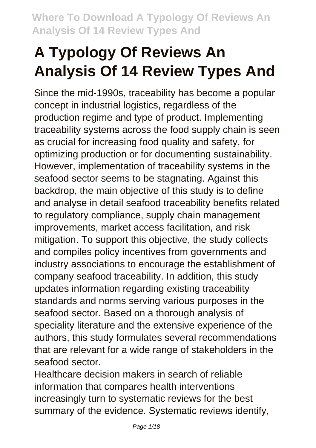# **A Typology Of Reviews An Analysis Of 14 Review Types And**

Since the mid-1990s, traceability has become a popular concept in industrial logistics, regardless of the production regime and type of product. Implementing traceability systems across the food supply chain is seen as crucial for increasing food quality and safety, for optimizing production or for documenting sustainability. However, implementation of traceability systems in the seafood sector seems to be stagnating. Against this backdrop, the main objective of this study is to define and analyse in detail seafood traceability benefits related to regulatory compliance, supply chain management improvements, market access facilitation, and risk mitigation. To support this objective, the study collects and compiles policy incentives from governments and industry associations to encourage the establishment of company seafood traceability. In addition, this study updates information regarding existing traceability standards and norms serving various purposes in the seafood sector. Based on a thorough analysis of speciality literature and the extensive experience of the authors, this study formulates several recommendations that are relevant for a wide range of stakeholders in the seafood sector.

Healthcare decision makers in search of reliable information that compares health interventions increasingly turn to systematic reviews for the best summary of the evidence. Systematic reviews identify,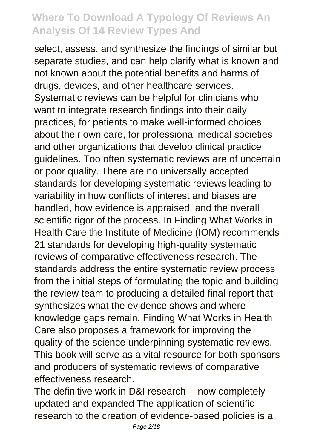select, assess, and synthesize the findings of similar but separate studies, and can help clarify what is known and not known about the potential benefits and harms of drugs, devices, and other healthcare services. Systematic reviews can be helpful for clinicians who want to integrate research findings into their daily practices, for patients to make well-informed choices about their own care, for professional medical societies and other organizations that develop clinical practice guidelines. Too often systematic reviews are of uncertain or poor quality. There are no universally accepted standards for developing systematic reviews leading to variability in how conflicts of interest and biases are handled, how evidence is appraised, and the overall scientific rigor of the process. In Finding What Works in Health Care the Institute of Medicine (IOM) recommends 21 standards for developing high-quality systematic reviews of comparative effectiveness research. The standards address the entire systematic review process from the initial steps of formulating the topic and building the review team to producing a detailed final report that synthesizes what the evidence shows and where knowledge gaps remain. Finding What Works in Health Care also proposes a framework for improving the quality of the science underpinning systematic reviews. This book will serve as a vital resource for both sponsors and producers of systematic reviews of comparative effectiveness research.

The definitive work in D&I research -- now completely updated and expanded The application of scientific research to the creation of evidence-based policies is a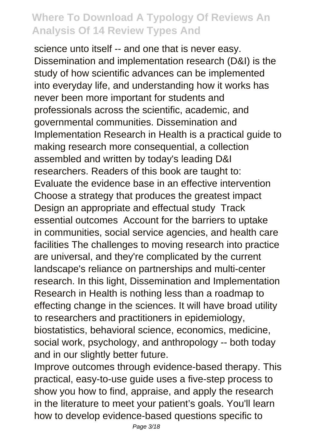science unto itself -- and one that is never easy. Dissemination and implementation research (D&I) is the study of how scientific advances can be implemented into everyday life, and understanding how it works has never been more important for students and professionals across the scientific, academic, and governmental communities. Dissemination and Implementation Research in Health is a practical guide to making research more consequential, a collection assembled and written by today's leading D&I researchers. Readers of this book are taught to: Evaluate the evidence base in an effective intervention Choose a strategy that produces the greatest impact Design an appropriate and effectual study Track essential outcomes Account for the barriers to uptake in communities, social service agencies, and health care facilities The challenges to moving research into practice are universal, and they're complicated by the current landscape's reliance on partnerships and multi-center research. In this light, Dissemination and Implementation Research in Health is nothing less than a roadmap to effecting change in the sciences. It will have broad utility to researchers and practitioners in epidemiology, biostatistics, behavioral science, economics, medicine, social work, psychology, and anthropology -- both today and in our slightly better future.

Improve outcomes through evidence-based therapy. This practical, easy-to-use guide uses a five-step process to show you how to find, appraise, and apply the research in the literature to meet your patient's goals. You'll learn how to develop evidence-based questions specific to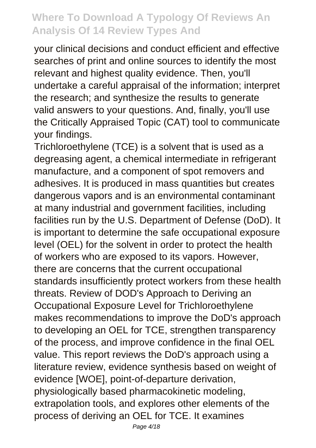your clinical decisions and conduct efficient and effective searches of print and online sources to identify the most relevant and highest quality evidence. Then, you'll undertake a careful appraisal of the information; interpret the research; and synthesize the results to generate valid answers to your questions. And, finally, you'll use the Critically Appraised Topic (CAT) tool to communicate your findings.

Trichloroethylene (TCE) is a solvent that is used as a degreasing agent, a chemical intermediate in refrigerant manufacture, and a component of spot removers and adhesives. It is produced in mass quantities but creates dangerous vapors and is an environmental contaminant at many industrial and government facilities, including facilities run by the U.S. Department of Defense (DoD). It is important to determine the safe occupational exposure level (OEL) for the solvent in order to protect the health of workers who are exposed to its vapors. However, there are concerns that the current occupational standards insufficiently protect workers from these health threats. Review of DOD's Approach to Deriving an Occupational Exposure Level for Trichloroethylene makes recommendations to improve the DoD's approach to developing an OEL for TCE, strengthen transparency of the process, and improve confidence in the final OEL value. This report reviews the DoD's approach using a literature review, evidence synthesis based on weight of evidence [WOE], point-of-departure derivation, physiologically based pharmacokinetic modeling, extrapolation tools, and explores other elements of the process of deriving an OEL for TCE. It examines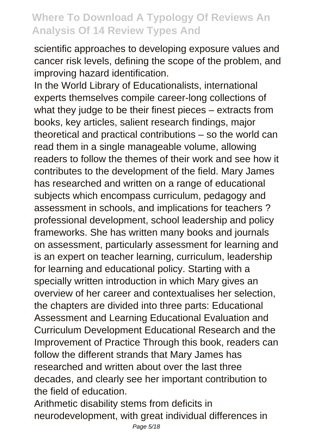scientific approaches to developing exposure values and cancer risk levels, defining the scope of the problem, and improving hazard identification.

In the World Library of Educationalists, international experts themselves compile career-long collections of what they judge to be their finest pieces – extracts from books, key articles, salient research findings, major theoretical and practical contributions – so the world can read them in a single manageable volume, allowing readers to follow the themes of their work and see how it contributes to the development of the field. Mary James has researched and written on a range of educational subjects which encompass curriculum, pedagogy and assessment in schools, and implications for teachers ? professional development, school leadership and policy frameworks. She has written many books and journals on assessment, particularly assessment for learning and is an expert on teacher learning, curriculum, leadership for learning and educational policy. Starting with a specially written introduction in which Mary gives an overview of her career and contextualises her selection, the chapters are divided into three parts: Educational Assessment and Learning Educational Evaluation and Curriculum Development Educational Research and the Improvement of Practice Through this book, readers can follow the different strands that Mary James has researched and written about over the last three decades, and clearly see her important contribution to the field of education.

Arithmetic disability stems from deficits in neurodevelopment, with great individual differences in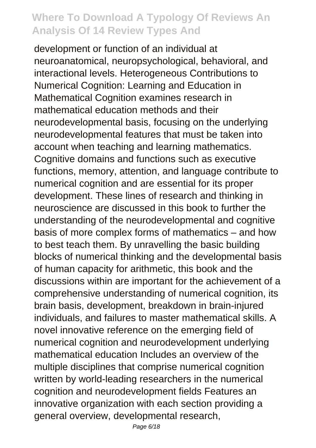development or function of an individual at neuroanatomical, neuropsychological, behavioral, and interactional levels. Heterogeneous Contributions to Numerical Cognition: Learning and Education in Mathematical Cognition examines research in mathematical education methods and their neurodevelopmental basis, focusing on the underlying neurodevelopmental features that must be taken into account when teaching and learning mathematics. Cognitive domains and functions such as executive functions, memory, attention, and language contribute to numerical cognition and are essential for its proper development. These lines of research and thinking in neuroscience are discussed in this book to further the understanding of the neurodevelopmental and cognitive basis of more complex forms of mathematics – and how to best teach them. By unravelling the basic building blocks of numerical thinking and the developmental basis of human capacity for arithmetic, this book and the discussions within are important for the achievement of a comprehensive understanding of numerical cognition, its brain basis, development, breakdown in brain-injured individuals, and failures to master mathematical skills. A novel innovative reference on the emerging field of numerical cognition and neurodevelopment underlying mathematical education Includes an overview of the multiple disciplines that comprise numerical cognition written by world-leading researchers in the numerical cognition and neurodevelopment fields Features an innovative organization with each section providing a general overview, developmental research,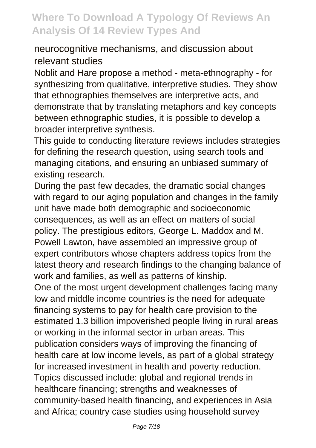#### neurocognitive mechanisms, and discussion about relevant studies

Noblit and Hare propose a method - meta-ethnography - for synthesizing from qualitative, interpretive studies. They show that ethnographies themselves are interpretive acts, and demonstrate that by translating metaphors and key concepts between ethnographic studies, it is possible to develop a broader interpretive synthesis.

This guide to conducting literature reviews includes strategies for defining the research question, using search tools and managing citations, and ensuring an unbiased summary of existing research.

During the past few decades, the dramatic social changes with regard to our aging population and changes in the family unit have made both demographic and socioeconomic consequences, as well as an effect on matters of social policy. The prestigious editors, George L. Maddox and M. Powell Lawton, have assembled an impressive group of expert contributors whose chapters address topics from the latest theory and research findings to the changing balance of work and families, as well as patterns of kinship.

One of the most urgent development challenges facing many low and middle income countries is the need for adequate financing systems to pay for health care provision to the estimated 1.3 billion impoverished people living in rural areas or working in the informal sector in urban areas. This publication considers ways of improving the financing of health care at low income levels, as part of a global strategy for increased investment in health and poverty reduction. Topics discussed include: global and regional trends in healthcare financing; strengths and weaknesses of community-based health financing, and experiences in Asia and Africa; country case studies using household survey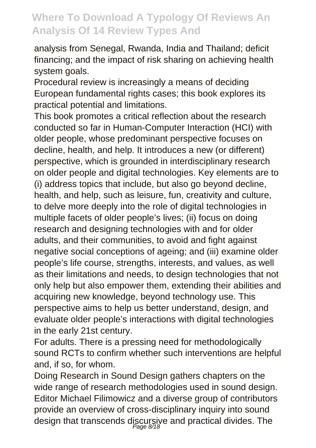analysis from Senegal, Rwanda, India and Thailand; deficit financing; and the impact of risk sharing on achieving health system goals.

Procedural review is increasingly a means of deciding European fundamental rights cases; this book explores its practical potential and limitations.

This book promotes a critical reflection about the research conducted so far in Human-Computer Interaction (HCI) with older people, whose predominant perspective focuses on decline, health, and help. It introduces a new (or different) perspective, which is grounded in interdisciplinary research on older people and digital technologies. Key elements are to (i) address topics that include, but also go beyond decline, health, and help, such as leisure, fun, creativity and culture, to delve more deeply into the role of digital technologies in multiple facets of older people's lives; (ii) focus on doing research and designing technologies with and for older adults, and their communities, to avoid and fight against negative social conceptions of ageing; and (iii) examine older people's life course, strengths, interests, and values, as well as their limitations and needs, to design technologies that not only help but also empower them, extending their abilities and acquiring new knowledge, beyond technology use. This perspective aims to help us better understand, design, and evaluate older people's interactions with digital technologies in the early 21st century.

For adults. There is a pressing need for methodologically sound RCTs to confirm whether such interventions are helpful and, if so, for whom.

Doing Research in Sound Design gathers chapters on the wide range of research methodologies used in sound design. Editor Michael Filimowicz and a diverse group of contributors provide an overview of cross-disciplinary inquiry into sound design that transcends discursive and practical divides. The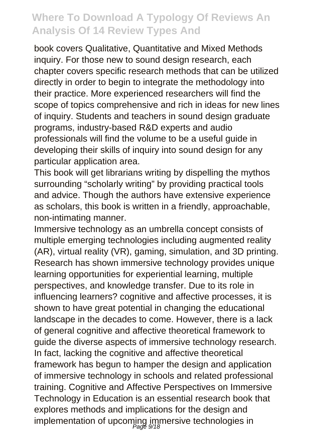book covers Qualitative, Quantitative and Mixed Methods inquiry. For those new to sound design research, each chapter covers specific research methods that can be utilized directly in order to begin to integrate the methodology into their practice. More experienced researchers will find the scope of topics comprehensive and rich in ideas for new lines of inquiry. Students and teachers in sound design graduate programs, industry-based R&D experts and audio professionals will find the volume to be a useful guide in developing their skills of inquiry into sound design for any particular application area.

This book will get librarians writing by dispelling the mythos surrounding "scholarly writing" by providing practical tools and advice. Though the authors have extensive experience as scholars, this book is written in a friendly, approachable, non-intimating manner.

Immersive technology as an umbrella concept consists of multiple emerging technologies including augmented reality (AR), virtual reality (VR), gaming, simulation, and 3D printing. Research has shown immersive technology provides unique learning opportunities for experiential learning, multiple perspectives, and knowledge transfer. Due to its role in influencing learners? cognitive and affective processes, it is shown to have great potential in changing the educational landscape in the decades to come. However, there is a lack of general cognitive and affective theoretical framework to guide the diverse aspects of immersive technology research. In fact, lacking the cognitive and affective theoretical framework has begun to hamper the design and application of immersive technology in schools and related professional training. Cognitive and Affective Perspectives on Immersive Technology in Education is an essential research book that explores methods and implications for the design and implementation of upcoming immersive technologies in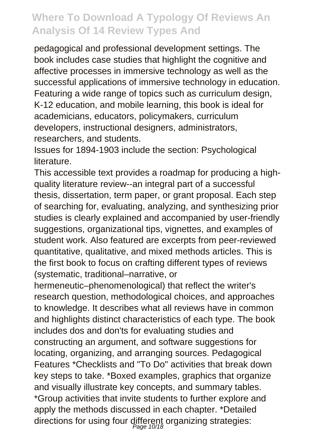pedagogical and professional development settings. The book includes case studies that highlight the cognitive and affective processes in immersive technology as well as the successful applications of immersive technology in education. Featuring a wide range of topics such as curriculum design, K-12 education, and mobile learning, this book is ideal for academicians, educators, policymakers, curriculum developers, instructional designers, administrators, researchers, and students.

Issues for 1894-1903 include the section: Psychological literature.

This accessible text provides a roadmap for producing a highquality literature review--an integral part of a successful thesis, dissertation, term paper, or grant proposal. Each step of searching for, evaluating, analyzing, and synthesizing prior studies is clearly explained and accompanied by user-friendly suggestions, organizational tips, vignettes, and examples of student work. Also featured are excerpts from peer-reviewed quantitative, qualitative, and mixed methods articles. This is the first book to focus on crafting different types of reviews (systematic, traditional–narrative, or

hermeneutic–phenomenological) that reflect the writer's research question, methodological choices, and approaches to knowledge. It describes what all reviews have in common and highlights distinct characteristics of each type. The book includes dos and don'ts for evaluating studies and constructing an argument, and software suggestions for locating, organizing, and arranging sources. Pedagogical Features \*Checklists and "To Do" activities that break down key steps to take. \*Boxed examples, graphics that organize and visually illustrate key concepts, and summary tables. \*Group activities that invite students to further explore and apply the methods discussed in each chapter. \*Detailed directions for using four different organizing strategies: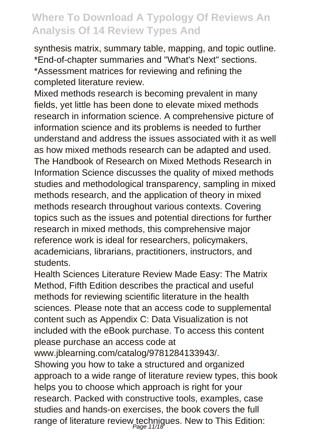synthesis matrix, summary table, mapping, and topic outline. \*End-of-chapter summaries and "What's Next" sections. \*Assessment matrices for reviewing and refining the completed literature review.

Mixed methods research is becoming prevalent in many fields, yet little has been done to elevate mixed methods research in information science. A comprehensive picture of information science and its problems is needed to further understand and address the issues associated with it as well as how mixed methods research can be adapted and used. The Handbook of Research on Mixed Methods Research in Information Science discusses the quality of mixed methods studies and methodological transparency, sampling in mixed methods research, and the application of theory in mixed methods research throughout various contexts. Covering topics such as the issues and potential directions for further research in mixed methods, this comprehensive major reference work is ideal for researchers, policymakers, academicians, librarians, practitioners, instructors, and students.

Health Sciences Literature Review Made Easy: The Matrix Method, Fifth Edition describes the practical and useful methods for reviewing scientific literature in the health sciences. Please note that an access code to supplemental content such as Appendix C: Data Visualization is not included with the eBook purchase. To access this content please purchase an access code at

www.jblearning.com/catalog/9781284133943/.

Showing you how to take a structured and organized approach to a wide range of literature review types, this book helps you to choose which approach is right for your research. Packed with constructive tools, examples, case studies and hands-on exercises, the book covers the full range of literature review techniques. New to This Edition: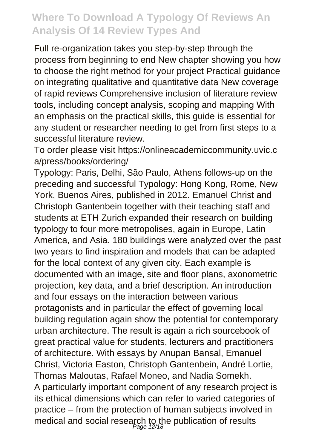Full re-organization takes you step-by-step through the process from beginning to end New chapter showing you how to choose the right method for your project Practical guidance on integrating qualitative and quantitative data New coverage of rapid reviews Comprehensive inclusion of literature review tools, including concept analysis, scoping and mapping With an emphasis on the practical skills, this guide is essential for any student or researcher needing to get from first steps to a successful literature review.

To order please visit https://onlineacademiccommunity.uvic.c a/press/books/ordering/

Typology: Paris, Delhi, São Paulo, Athens follows-up on the preceding and successful Typology: Hong Kong, Rome, New York, Buenos Aires, published in 2012. Emanuel Christ and Christoph Gantenbein together with their teaching staff and students at ETH Zurich expanded their research on building typology to four more metropolises, again in Europe, Latin America, and Asia. 180 buildings were analyzed over the past two years to find inspiration and models that can be adapted for the local context of any given city. Each example is documented with an image, site and floor plans, axonometric projection, key data, and a brief description. An introduction and four essays on the interaction between various protagonists and in particular the effect of governing local building regulation again show the potential for contemporary urban architecture. The result is again a rich sourcebook of great practical value for students, lecturers and practitioners of architecture. With essays by Anupan Bansal, Emanuel Christ, Victoria Easton, Christoph Gantenbein, André Lortie, Thomas Maloutas, Rafael Moneo, and Nadia Somekh. A particularly important component of any research project is its ethical dimensions which can refer to varied categories of practice – from the protection of human subjects involved in medical and social research to the publication of results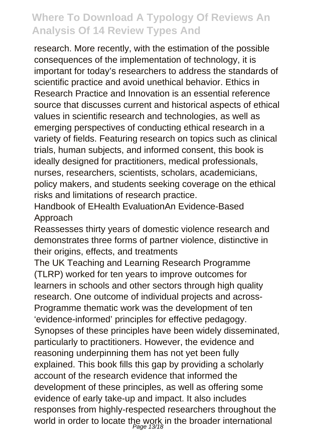research. More recently, with the estimation of the possible consequences of the implementation of technology, it is important for today's researchers to address the standards of scientific practice and avoid unethical behavior. Ethics in Research Practice and Innovation is an essential reference source that discusses current and historical aspects of ethical values in scientific research and technologies, as well as emerging perspectives of conducting ethical research in a variety of fields. Featuring research on topics such as clinical trials, human subjects, and informed consent, this book is ideally designed for practitioners, medical professionals, nurses, researchers, scientists, scholars, academicians, policy makers, and students seeking coverage on the ethical risks and limitations of research practice.

Handbook of EHealth EvaluationAn Evidence-Based Approach

Reassesses thirty years of domestic violence research and demonstrates three forms of partner violence, distinctive in their origins, effects, and treatments

The UK Teaching and Learning Research Programme (TLRP) worked for ten years to improve outcomes for learners in schools and other sectors through high quality research. One outcome of individual projects and across-Programme thematic work was the development of ten 'evidence-informed' principles for effective pedagogy. Synopses of these principles have been widely disseminated, particularly to practitioners. However, the evidence and reasoning underpinning them has not yet been fully explained. This book fills this gap by providing a scholarly account of the research evidence that informed the development of these principles, as well as offering some evidence of early take-up and impact. It also includes responses from highly-respected researchers throughout the world in order to locate the work in the broader international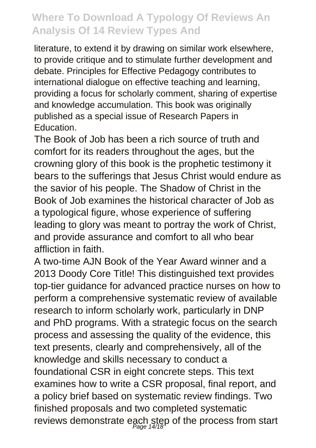literature, to extend it by drawing on similar work elsewhere, to provide critique and to stimulate further development and debate. Principles for Effective Pedagogy contributes to international dialogue on effective teaching and learning, providing a focus for scholarly comment, sharing of expertise and knowledge accumulation. This book was originally published as a special issue of Research Papers in **Education** 

The Book of Job has been a rich source of truth and comfort for its readers throughout the ages, but the crowning glory of this book is the prophetic testimony it bears to the sufferings that Jesus Christ would endure as the savior of his people. The Shadow of Christ in the Book of Job examines the historical character of Job as a typological figure, whose experience of suffering leading to glory was meant to portray the work of Christ, and provide assurance and comfort to all who bear affliction in faith.

A two-time AJN Book of the Year Award winner and a 2013 Doody Core Title! This distinguished text provides top-tier guidance for advanced practice nurses on how to perform a comprehensive systematic review of available research to inform scholarly work, particularly in DNP and PhD programs. With a strategic focus on the search process and assessing the quality of the evidence, this text presents, clearly and comprehensively, all of the knowledge and skills necessary to conduct a foundational CSR in eight concrete steps. This text examines how to write a CSR proposal, final report, and a policy brief based on systematic review findings. Two finished proposals and two completed systematic reviews demonstrate each step of the process from start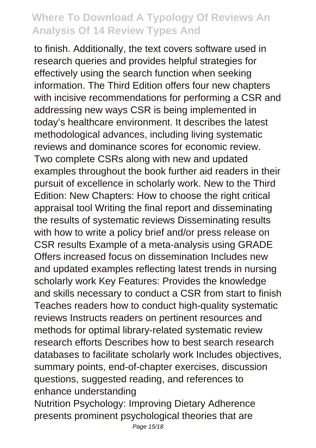to finish. Additionally, the text covers software used in research queries and provides helpful strategies for effectively using the search function when seeking information. The Third Edition offers four new chapters with incisive recommendations for performing a CSR and addressing new ways CSR is being implemented in today's healthcare environment. It describes the latest methodological advances, including living systematic reviews and dominance scores for economic review. Two complete CSRs along with new and updated examples throughout the book further aid readers in their pursuit of excellence in scholarly work. New to the Third Edition: New Chapters: How to choose the right critical appraisal tool Writing the final report and disseminating the results of systematic reviews Disseminating results with how to write a policy brief and/or press release on CSR results Example of a meta-analysis using GRADE Offers increased focus on dissemination Includes new and updated examples reflecting latest trends in nursing scholarly work Key Features: Provides the knowledge and skills necessary to conduct a CSR from start to finish Teaches readers how to conduct high-quality systematic reviews Instructs readers on pertinent resources and methods for optimal library-related systematic review research efforts Describes how to best search research databases to facilitate scholarly work Includes objectives, summary points, end-of-chapter exercises, discussion questions, suggested reading, and references to enhance understanding Nutrition Psychology: Improving Dietary Adherence

presents prominent psychological theories that are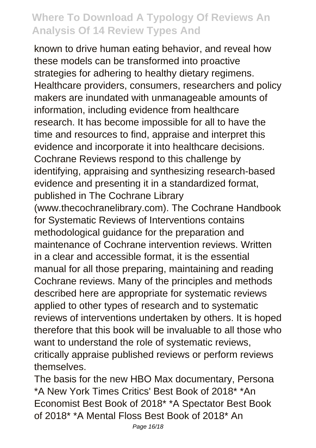known to drive human eating behavior, and reveal how these models can be transformed into proactive strategies for adhering to healthy dietary regimens. Healthcare providers, consumers, researchers and policy makers are inundated with unmanageable amounts of information, including evidence from healthcare research. It has become impossible for all to have the time and resources to find, appraise and interpret this evidence and incorporate it into healthcare decisions. Cochrane Reviews respond to this challenge by identifying, appraising and synthesizing research-based evidence and presenting it in a standardized format, published in The Cochrane Library (www.thecochranelibrary.com). The Cochrane Handbook for Systematic Reviews of Interventions contains methodological guidance for the preparation and maintenance of Cochrane intervention reviews. Written in a clear and accessible format, it is the essential manual for all those preparing, maintaining and reading Cochrane reviews. Many of the principles and methods described here are appropriate for systematic reviews applied to other types of research and to systematic reviews of interventions undertaken by others. It is hoped therefore that this book will be invaluable to all those who want to understand the role of systematic reviews, critically appraise published reviews or perform reviews themselves.

The basis for the new HBO Max documentary, Persona \*A New York Times Critics' Best Book of 2018\* \*An Economist Best Book of 2018\* \*A Spectator Best Book of 2018\* \*A Mental Floss Best Book of 2018\* An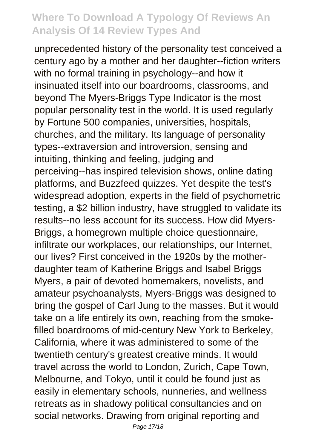unprecedented history of the personality test conceived a century ago by a mother and her daughter--fiction writers with no formal training in psychology--and how it insinuated itself into our boardrooms, classrooms, and beyond The Myers-Briggs Type Indicator is the most popular personality test in the world. It is used regularly by Fortune 500 companies, universities, hospitals, churches, and the military. Its language of personality types--extraversion and introversion, sensing and intuiting, thinking and feeling, judging and perceiving--has inspired television shows, online dating platforms, and Buzzfeed quizzes. Yet despite the test's widespread adoption, experts in the field of psychometric testing, a \$2 billion industry, have struggled to validate its results--no less account for its success. How did Myers-Briggs, a homegrown multiple choice questionnaire, infiltrate our workplaces, our relationships, our Internet, our lives? First conceived in the 1920s by the motherdaughter team of Katherine Briggs and Isabel Briggs Myers, a pair of devoted homemakers, novelists, and amateur psychoanalysts, Myers-Briggs was designed to bring the gospel of Carl Jung to the masses. But it would take on a life entirely its own, reaching from the smokefilled boardrooms of mid-century New York to Berkeley, California, where it was administered to some of the twentieth century's greatest creative minds. It would travel across the world to London, Zurich, Cape Town, Melbourne, and Tokyo, until it could be found just as easily in elementary schools, nunneries, and wellness retreats as in shadowy political consultancies and on social networks. Drawing from original reporting and